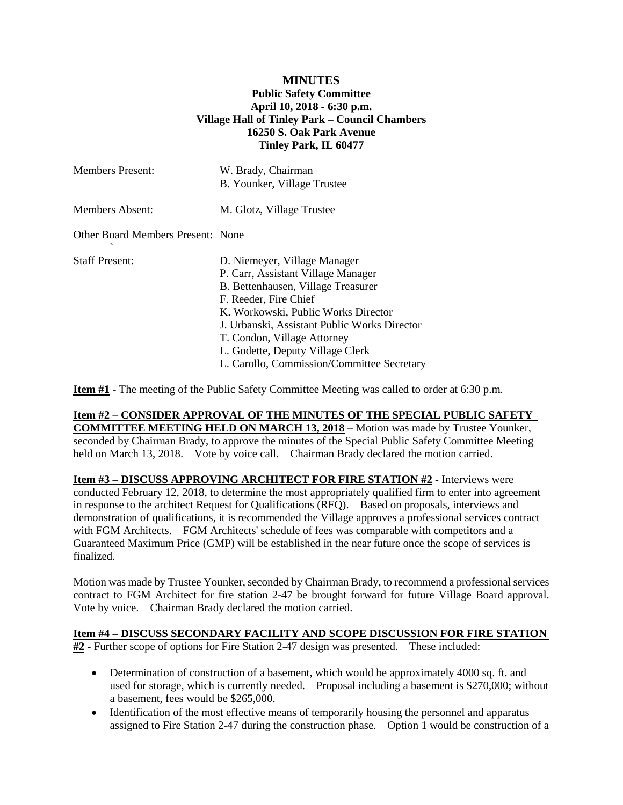## **MINUTES Public Safety Committee April 10, 2018 - 6:30 p.m. Village Hall of Tinley Park – Council Chambers 16250 S. Oak Park Avenue Tinley Park, IL 60477**

| W. Brady, Chairman<br>B. Younker, Village Trustee                                                                                                                                                                                                       |
|---------------------------------------------------------------------------------------------------------------------------------------------------------------------------------------------------------------------------------------------------------|
| M. Glotz, Village Trustee                                                                                                                                                                                                                               |
| Other Board Members Present: None                                                                                                                                                                                                                       |
| D. Niemeyer, Village Manager<br>P. Carr, Assistant Village Manager<br>B. Bettenhausen, Village Treasurer<br>F. Reeder, Fire Chief<br>K. Workowski, Public Works Director<br>J. Urbanski, Assistant Public Works Director<br>T. Condon, Village Attorney |
|                                                                                                                                                                                                                                                         |

**Item #1** - The meeting of the Public Safety Committee Meeting was called to order at 6:30 p.m.

### **Item #2 – CONSIDER APPROVAL OF THE MINUTES OF THE SPECIAL PUBLIC SAFETY COMMITTEE MEETING HELD ON MARCH 13, 2018 –** Motion was made by Trustee Younker, seconded by Chairman Brady, to approve the minutes of the Special Public Safety Committee Meeting held on March 13, 2018. Vote by voice call. Chairman Brady declared the motion carried.

**Item #3 – DISCUSS APPROVING ARCHITECT FOR FIRE STATION #2 -** Interviews were conducted February 12, 2018, to determine the most appropriately qualified firm to enter into agreement in response to the architect Request for Qualifications (RFQ). Based on proposals, interviews and demonstration of qualifications, it is recommended the Village approves a professional services contract with FGM Architects. FGM Architects' schedule of fees was comparable with competitors and a Guaranteed Maximum Price (GMP) will be established in the near future once the scope of services is finalized.

Motion was made by Trustee Younker, seconded by Chairman Brady, to recommend a professional services contract to FGM Architect for fire station 2-47 be brought forward for future Village Board approval. Vote by voice. Chairman Brady declared the motion carried.

# **Item #4 – DISCUSS SECONDARY FACILITY AND SCOPE DISCUSSION FOR FIRE STATION**

**#2 -** Further scope of options for Fire Station 2-47 design was presented. These included:

- Determination of construction of a basement, which would be approximately 4000 sq. ft. and used for storage, which is currently needed. Proposal including a basement is \$270,000; without a basement, fees would be \$265,000.
- Identification of the most effective means of temporarily housing the personnel and apparatus assigned to Fire Station 2-47 during the construction phase. Option 1 would be construction of a